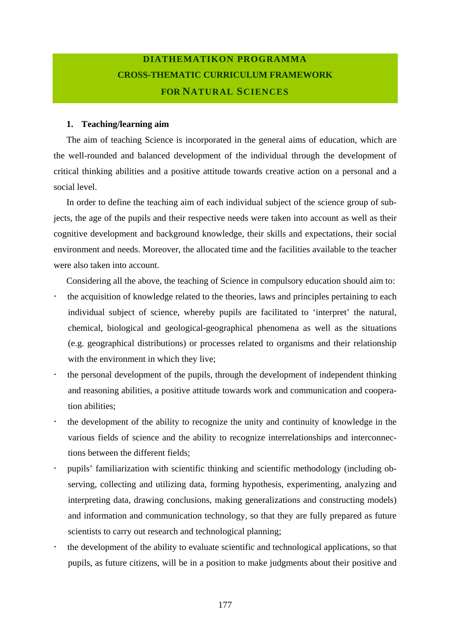## **DIATHEMATIKON PROGRAMMA CROSS-THEMATIC CURRICULUM FRAMEWORK FOR NATURAL SCIENCES**

## **1. Teaching/learning aim**

The aim of teaching Science is incorporated in the general aims of education, which are the well-rounded and balanced development of the individual through the development of critical thinking abilities and a positive attitude towards creative action on a personal and a social level.

In order to define the teaching aim of each individual subject of the science group of subjects, the age of the pupils and their respective needs were taken into account as well as their cognitive development and background knowledge, their skills and expectations, their social environment and needs. Moreover, the allocated time and the facilities available to the teacher were also taken into account.

Considering all the above, the teaching of Science in compulsory education should aim to:

- the acquisition of knowledge related to the theories, laws and principles pertaining to each individual subject of science, whereby pupils are facilitated to 'interpret' the natural, chemical, biological and geological-geographical phenomena as well as the situations (e.g. geographical distributions) or processes related to organisms and their relationship with the environment in which they live;
- the personal development of the pupils, through the development of independent thinking and reasoning abilities, a positive attitude towards work and communication and cooperation abilities;
- ! the development of the ability to recognize the unity and continuity of knowledge in the various fields of science and the ability to recognize interrelationships and interconnections between the different fields;
- ! pupils' familiarization with scientific thinking and scientific methodology (including observing, collecting and utilizing data, forming hypothesis, experimenting, analyzing and interpreting data, drawing conclusions, making generalizations and constructing models) and information and communication technology, so that they are fully prepared as future scientists to carry out research and technological planning;
- the development of the ability to evaluate scientific and technological applications, so that pupils, as future citizens, will be in a position to make judgments about their positive and